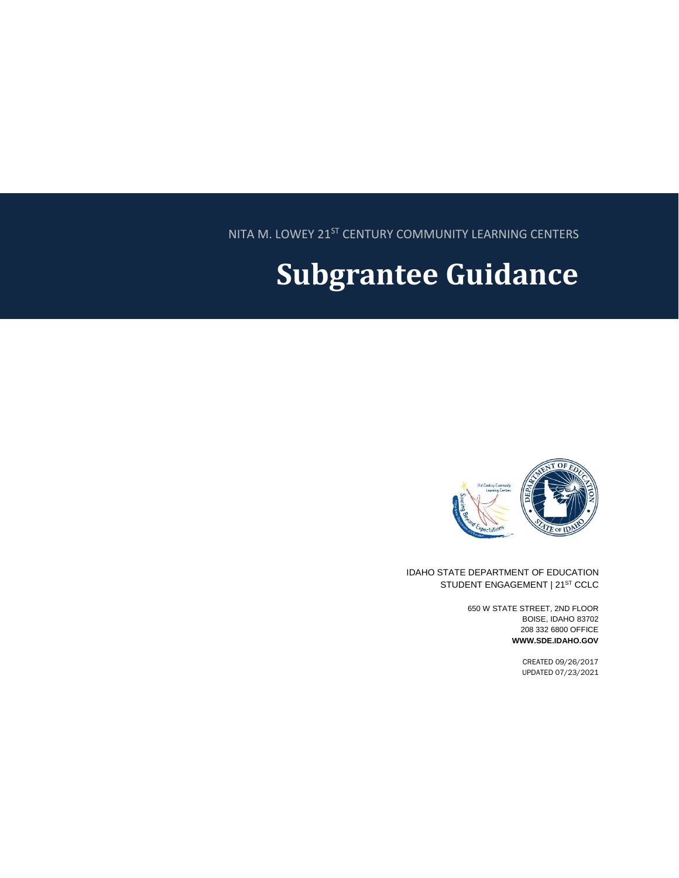NITA M. LOWEY 21ST CENTURY COMMUNITY LEARNING CENTERS

# **Subgrantee Guidance**



IDAHO STATE DEPARTMENT OF EDUCATION STUDENT ENGAGEMENT | 21ST CCLC

> 650 W STATE STREET, 2ND FLOOR BOISE, IDAHO 83702 208 332 6800 OFFICE **WWW.SDE.IDAHO.GOV**

> > CREATED 09/26/2017 UPDATED 07/23/2021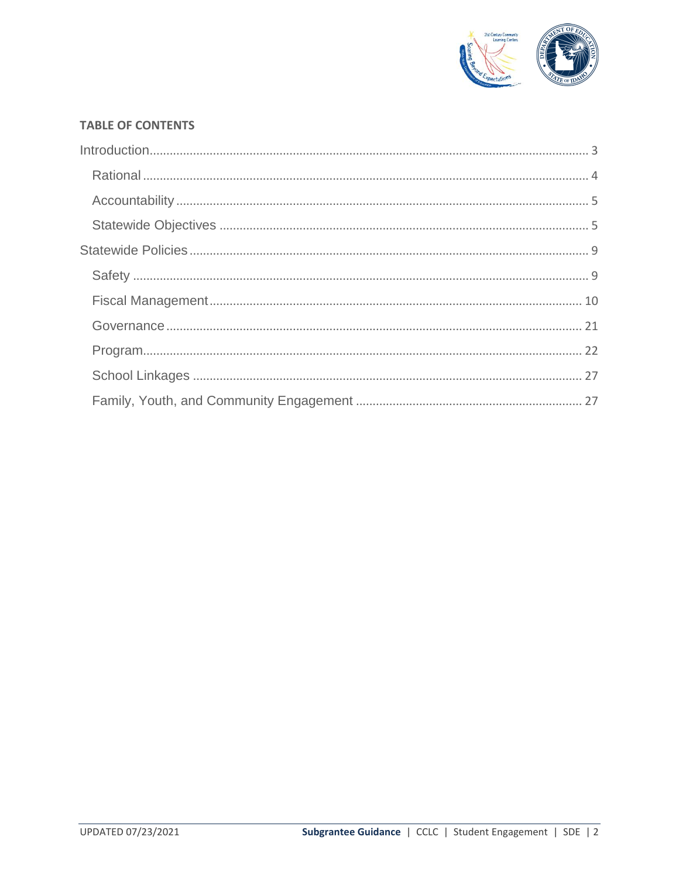

#### **TABLE OF CONTENTS**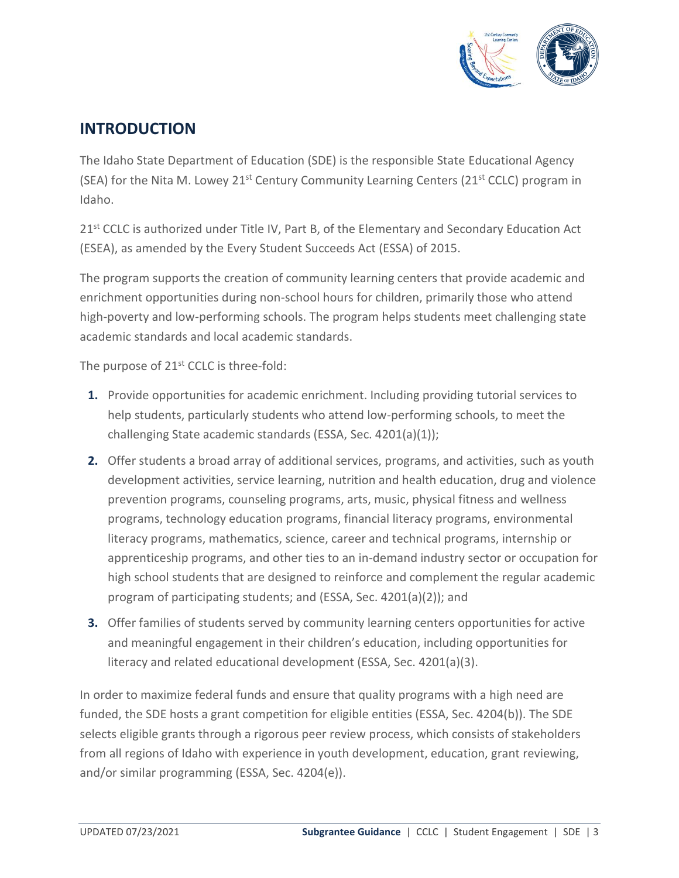

## <span id="page-2-0"></span>**INTRODUCTION**

The Idaho State Department of Education (SDE) is the responsible State Educational Agency (SEA) for the Nita M. Lowey 21<sup>st</sup> Century Community Learning Centers (21<sup>st</sup> CCLC) program in Idaho.

21<sup>st</sup> CCLC is authorized under Title IV, Part B, of the Elementary and Secondary Education Act (ESEA), as amended by the Every Student Succeeds Act (ESSA) of 2015.

The program supports the creation of community learning centers that provide academic and enrichment opportunities during non-school hours for children, primarily those who attend high-poverty and low-performing schools. The program helps students meet challenging state academic standards and local academic standards.

The purpose of 21<sup>st</sup> CCLC is three-fold:

- **1.** Provide opportunities for academic enrichment. Including providing tutorial services to help students, particularly students who attend low-performing schools, to meet the challenging State academic standards (ESSA, Sec. 4201(a)(1));
- **2.** Offer students a broad array of additional services, programs, and activities, such as youth development activities, service learning, nutrition and health education, drug and violence prevention programs, counseling programs, arts, music, physical fitness and wellness programs, technology education programs, financial literacy programs, environmental literacy programs, mathematics, science, career and technical programs, internship or apprenticeship programs, and other ties to an in-demand industry sector or occupation for high school students that are designed to reinforce and complement the regular academic program of participating students; and (ESSA, Sec. 4201(a)(2)); and
- **3.** Offer families of students served by community learning centers opportunities for active and meaningful engagement in their children's education, including opportunities for literacy and related educational development (ESSA, Sec. 4201(a)(3).

In order to maximize federal funds and ensure that quality programs with a high need are funded, the SDE hosts a grant competition for eligible entities (ESSA, Sec. 4204(b)). The SDE selects eligible grants through a rigorous peer review process, which consists of stakeholders from all regions of Idaho with experience in youth development, education, grant reviewing, and/or similar programming (ESSA, Sec. 4204(e)).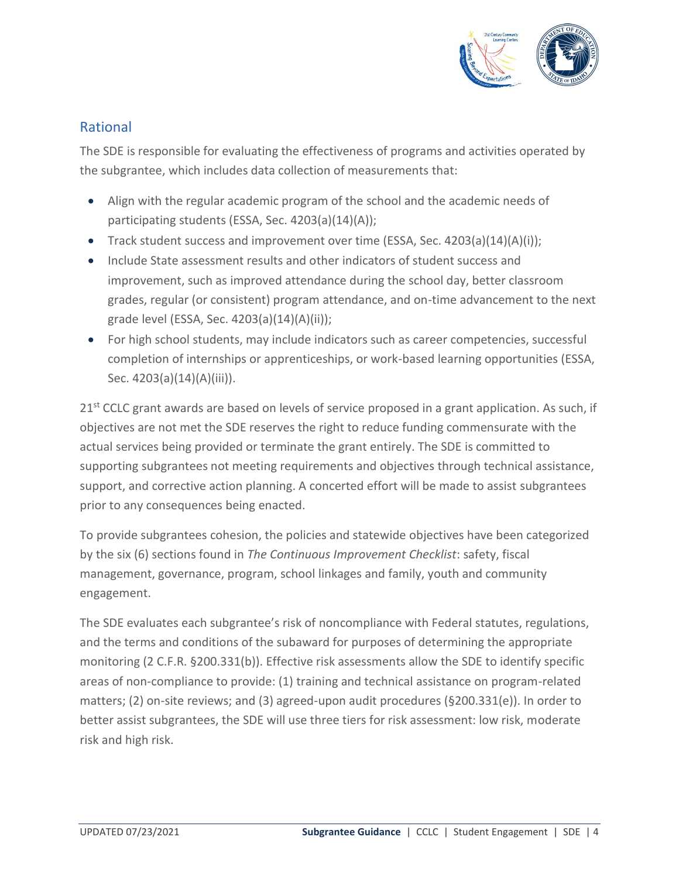

## <span id="page-3-0"></span>Rational

The SDE is responsible for evaluating the effectiveness of programs and activities operated by the subgrantee, which includes data collection of measurements that:

- Align with the regular academic program of the school and the academic needs of participating students (ESSA, Sec. 4203(a)(14)(A));
- Track student success and improvement over time (ESSA, Sec. 4203(a)(14)(A)(i));
- Include State assessment results and other indicators of student success and improvement, such as improved attendance during the school day, better classroom grades, regular (or consistent) program attendance, and on-time advancement to the next grade level (ESSA, Sec. 4203(a)(14)(A)(ii));
- For high school students, may include indicators such as career competencies, successful completion of internships or apprenticeships, or work-based learning opportunities (ESSA, Sec. 4203(a)(14)(A)(iii)).

21<sup>st</sup> CCLC grant awards are based on levels of service proposed in a grant application. As such, if objectives are not met the SDE reserves the right to reduce funding commensurate with the actual services being provided or terminate the grant entirely. The SDE is committed to supporting subgrantees not meeting requirements and objectives through technical assistance, support, and corrective action planning. A concerted effort will be made to assist subgrantees prior to any consequences being enacted.

To provide subgrantees cohesion, the policies and statewide objectives have been categorized by the six (6) sections found in *The Continuous Improvement Checklist*: safety, fiscal management, governance, program, school linkages and family, youth and community engagement.

The SDE evaluates each subgrantee's risk of noncompliance with Federal statutes, regulations, and the terms and conditions of the subaward for purposes of determining the appropriate monitoring (2 C.F.R. §200.331(b)). Effective risk assessments allow the SDE to identify specific areas of non-compliance to provide: (1) training and technical assistance on program-related matters; (2) on-site reviews; and (3) agreed-upon audit procedures (§200.331(e)). In order to better assist subgrantees, the SDE will use three tiers for risk assessment: low risk, moderate risk and high risk.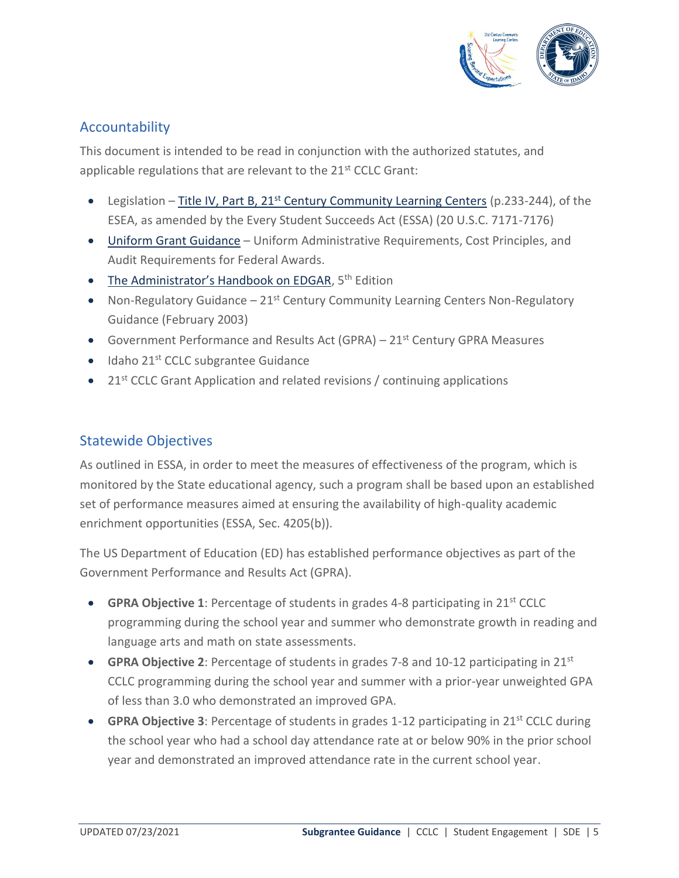

## <span id="page-4-0"></span>Accountability

This document is intended to be read in conjunction with the authorized statutes, and applicable regulations that are relevant to the 21<sup>st</sup> CCLC Grant:

- Legislation  $-$  Title IV, Part B, 21<sup>st</sup> [Century Community Learning Centers](https://www2.ed.gov/documents/essa-act-of-1965.pdf) (p.233-244), of the ESEA, as amended by the Every Student Succeeds Act (ESSA) (20 U.S.C. 7171-7176)
- [Uniform Grant Guidance](http://www2.ed.gov/policy/fund/guid/uniform-guidance/index.html) Uniform Administrative Requirements, Cost Principles, and Audit Requirements for Federal Awards.
- [The Administrator's Handbook on EDGAR](http://www2.ed.gov/policy/fund/reg/edgarReg/edgar.html), 5<sup>th</sup> Edition
- Non-Regulatory Guidance  $-21$ <sup>st</sup> Century Community Learning Centers Non-Regulatory Guidance (February 2003)
- Government Performance and Results Act (GPRA) 21<sup>st</sup> Century GPRA Measures
- Idaho 21<sup>st</sup> CCLC subgrantee Guidance
- $\bullet$  21<sup>st</sup> CCLC Grant Application and related revisions / continuing applications

## <span id="page-4-1"></span>Statewide Objectives

As outlined in ESSA, in order to meet the measures of effectiveness of the program, which is monitored by the State educational agency, such a program shall be based upon an established set of performance measures aimed at ensuring the availability of high-quality academic enrichment opportunities (ESSA, Sec. 4205(b)).

The US Department of Education (ED) has established performance objectives as part of the Government Performance and Results Act (GPRA).

- **GPRA Objective 1**: Percentage of students in grades 4-8 participating in 21st CCLC programming during the school year and summer who demonstrate growth in reading and language arts and math on state assessments.
- **GPRA Objective 2**: Percentage of students in grades 7-8 and 10-12 participating in 21st CCLC programming during the school year and summer with a prior-year unweighted GPA of less than 3.0 who demonstrated an improved GPA.
- **GPRA Objective 3**: Percentage of students in grades 1-12 participating in 21st CCLC during the school year who had a school day attendance rate at or below 90% in the prior school year and demonstrated an improved attendance rate in the current school year.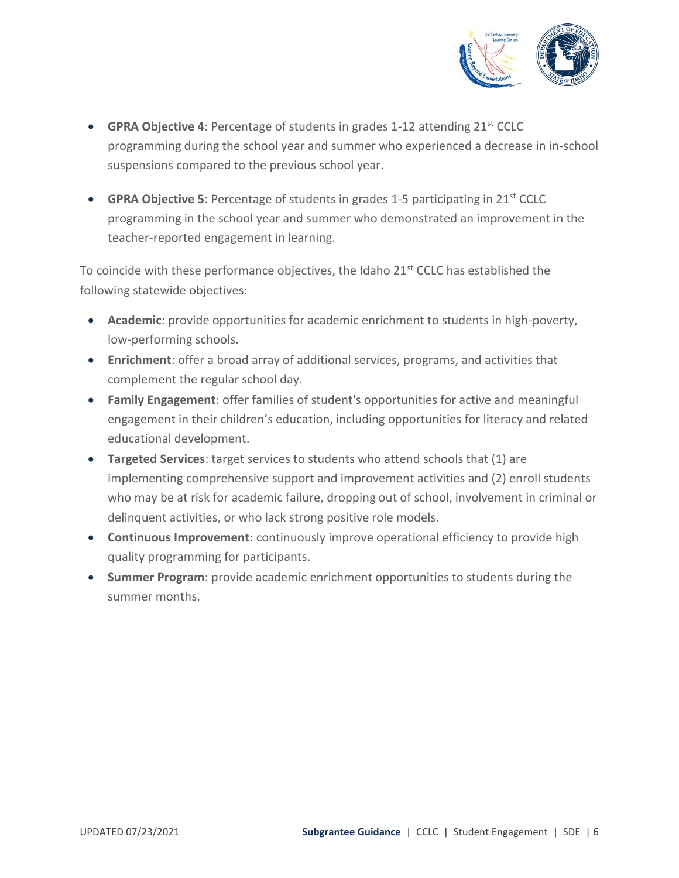

- **GPRA Objective 4**: Percentage of students in grades 1-12 attending 21st CCLC programming during the school year and summer who experienced a decrease in in-school suspensions compared to the previous school year.
- **GPRA Objective 5**: Percentage of students in grades 1-5 participating in 21<sup>st</sup> CCLC programming in the school year and summer who demonstrated an improvement in the teacher-reported engagement in learning.

To coincide with these performance objectives, the Idaho 21<sup>st</sup> CCLC has established the following statewide objectives:

- **Academic**: provide opportunities for academic enrichment to students in high-poverty, low-performing schools.
- **Enrichment**: offer a broad array of additional services, programs, and activities that complement the regular school day.
- **Family Engagement**: offer families of student's opportunities for active and meaningful engagement in their children's education, including opportunities for literacy and related educational development.
- **Targeted Services**: target services to students who attend schools that (1) are implementing comprehensive support and improvement activities and (2) enroll students who may be at risk for academic failure, dropping out of school, involvement in criminal or delinquent activities, or who lack strong positive role models.
- **Continuous Improvement**: continuously improve operational efficiency to provide high quality programming for participants.
- **Summer Program**: provide academic enrichment opportunities to students during the summer months.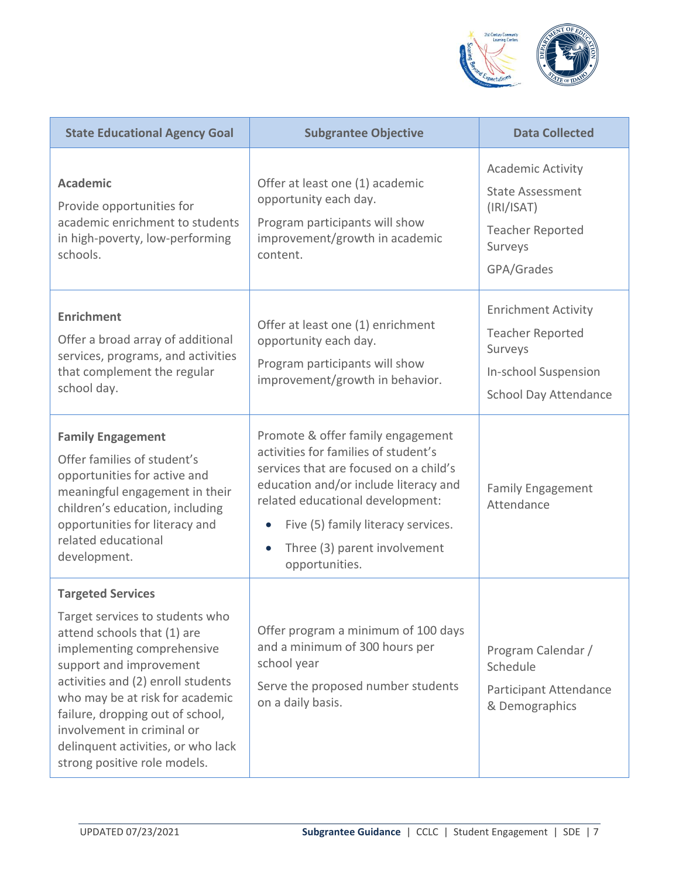

| <b>State Educational Agency Goal</b>                                                                                                                                                                                                                                                                                                                                 | <b>Subgrantee Objective</b>                                                                                                                                                                                                                                                              | <b>Data Collected</b>                                                                                                           |
|----------------------------------------------------------------------------------------------------------------------------------------------------------------------------------------------------------------------------------------------------------------------------------------------------------------------------------------------------------------------|------------------------------------------------------------------------------------------------------------------------------------------------------------------------------------------------------------------------------------------------------------------------------------------|---------------------------------------------------------------------------------------------------------------------------------|
| <b>Academic</b><br>Provide opportunities for<br>academic enrichment to students<br>in high-poverty, low-performing<br>schools.                                                                                                                                                                                                                                       | Offer at least one (1) academic<br>opportunity each day.<br>Program participants will show<br>improvement/growth in academic<br>content.                                                                                                                                                 | <b>Academic Activity</b><br><b>State Assessment</b><br>(IRI/ISAT)<br><b>Teacher Reported</b><br>Surveys<br>GPA/Grades           |
| <b>Enrichment</b><br>Offer a broad array of additional<br>services, programs, and activities<br>that complement the regular<br>school day.                                                                                                                                                                                                                           | Offer at least one (1) enrichment<br>opportunity each day.<br>Program participants will show<br>improvement/growth in behavior.                                                                                                                                                          | <b>Enrichment Activity</b><br><b>Teacher Reported</b><br>Surveys<br><b>In-school Suspension</b><br><b>School Day Attendance</b> |
| <b>Family Engagement</b><br>Offer families of student's<br>opportunities for active and<br>meaningful engagement in their<br>children's education, including<br>opportunities for literacy and<br>related educational<br>development.                                                                                                                                | Promote & offer family engagement<br>activities for families of student's<br>services that are focused on a child's<br>education and/or include literacy and<br>related educational development:<br>Five (5) family literacy services.<br>Three (3) parent involvement<br>opportunities. | <b>Family Engagement</b><br>Attendance                                                                                          |
| <b>Targeted Services</b><br>Target services to students who<br>attend schools that (1) are<br>implementing comprehensive<br>support and improvement<br>activities and (2) enroll students<br>who may be at risk for academic<br>failure, dropping out of school,<br>involvement in criminal or<br>delinquent activities, or who lack<br>strong positive role models. | Offer program a minimum of 100 days<br>and a minimum of 300 hours per<br>school year<br>Serve the proposed number students<br>on a daily basis.                                                                                                                                          | Program Calendar /<br>Schedule<br>Participant Attendance<br>& Demographics                                                      |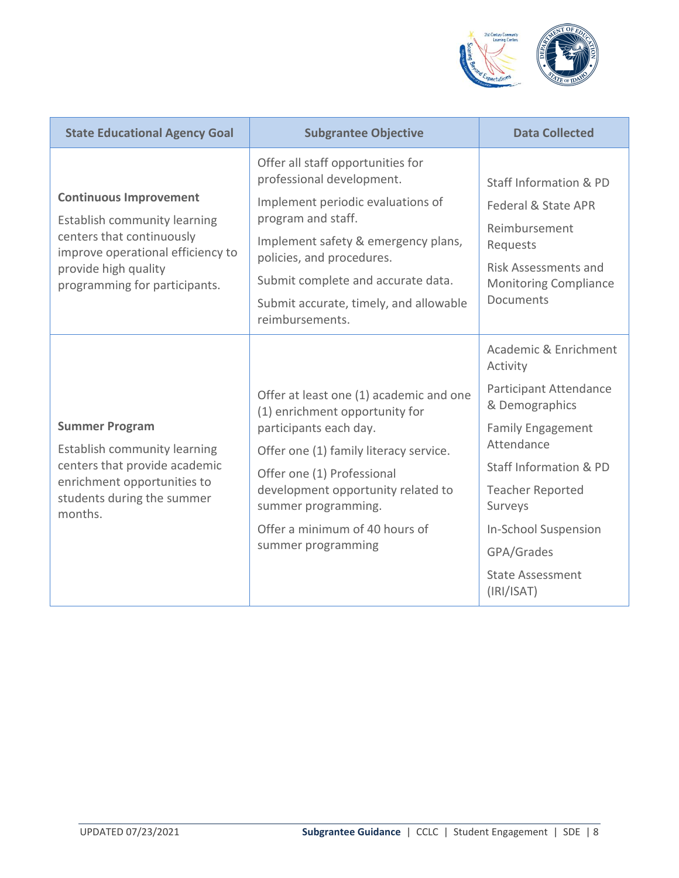

| <b>State Educational Agency Goal</b>                                                                                                                                                     | <b>Subgrantee Objective</b>                                                                                                                                                                                                                                                                      | <b>Data Collected</b>                                                                                                                                                                                                                                                         |
|------------------------------------------------------------------------------------------------------------------------------------------------------------------------------------------|--------------------------------------------------------------------------------------------------------------------------------------------------------------------------------------------------------------------------------------------------------------------------------------------------|-------------------------------------------------------------------------------------------------------------------------------------------------------------------------------------------------------------------------------------------------------------------------------|
| <b>Continuous Improvement</b><br>Establish community learning<br>centers that continuously<br>improve operational efficiency to<br>provide high quality<br>programming for participants. | Offer all staff opportunities for<br>professional development.<br>Implement periodic evaluations of<br>program and staff.<br>Implement safety & emergency plans,<br>policies, and procedures.<br>Submit complete and accurate data.<br>Submit accurate, timely, and allowable<br>reimbursements. | Staff Information & PD<br>Federal & State APR<br>Reimbursement<br>Requests<br><b>Risk Assessments and</b><br><b>Monitoring Compliance</b><br>Documents                                                                                                                        |
| <b>Summer Program</b><br>Establish community learning<br>centers that provide academic<br>enrichment opportunities to<br>students during the summer<br>months.                           | Offer at least one (1) academic and one<br>(1) enrichment opportunity for<br>participants each day.<br>Offer one (1) family literacy service.<br>Offer one (1) Professional<br>development opportunity related to<br>summer programming.<br>Offer a minimum of 40 hours of<br>summer programming | Academic & Enrichment<br>Activity<br>Participant Attendance<br>& Demographics<br><b>Family Engagement</b><br>Attendance<br>Staff Information & PD<br><b>Teacher Reported</b><br>Surveys<br><b>In-School Suspension</b><br>GPA/Grades<br><b>State Assessment</b><br>(IRI/ISAT) |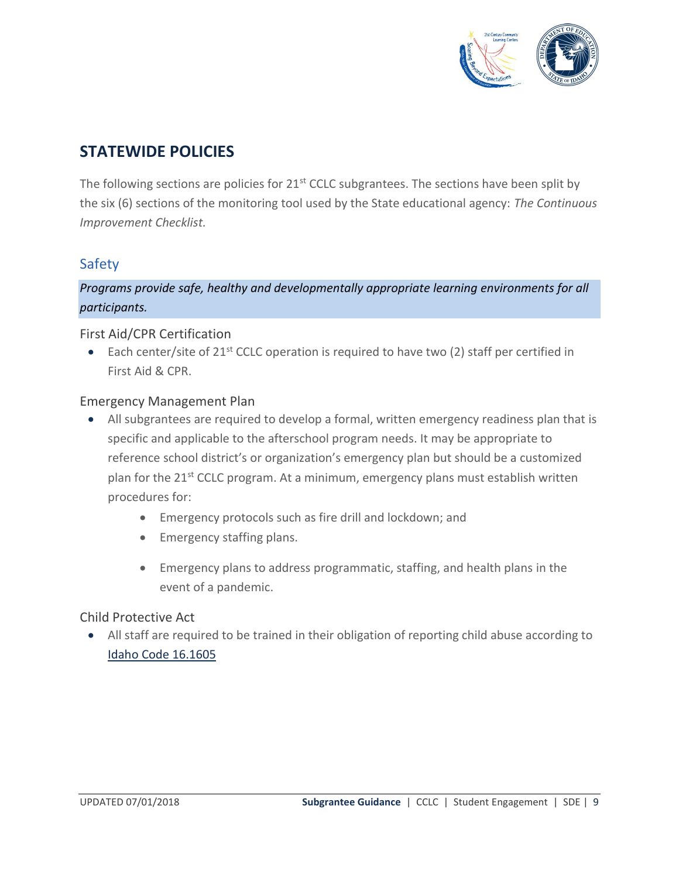

# <span id="page-8-0"></span>**STATEWIDE POLICIES**

The following sections are policies for 21<sup>st</sup> CCLC subgrantees. The sections have been split by the six (6) sections of the monitoring tool used by the State educational agency: *The Continuous Improvement Checklist.*

## <span id="page-8-1"></span>Safety

*Programs provide safe, healthy and developmentally appropriate learning environments for all participants.*

#### First Aid/CPR Certification

• Each center/site of  $21^{st}$  CCLC operation is required to have two (2) staff per certified in First Aid & CPR.

#### Emergency Management Plan

- All subgrantees are required to develop a formal, written emergency readiness plan that is specific and applicable to the afterschool program needs. It may be appropriate to reference school district's or organization's emergency plan but should be a customized plan for the 21st CCLC program. At a minimum, emergency plans must establish written procedures for:
	- Emergency protocols such as fire drill and lockdown; and
	- Emergency staffing plans.
	- Emergency plans to address programmatic, staffing, and health plans in the event of a pandemic.

## Child Protective Act

• All staff are required to be trained in their obligation of reporting child abuse according to [Idaho Code 16.1605](http://www.legislature.idaho.gov/idstat/Title16/T16CH16SECT16-1605.htm)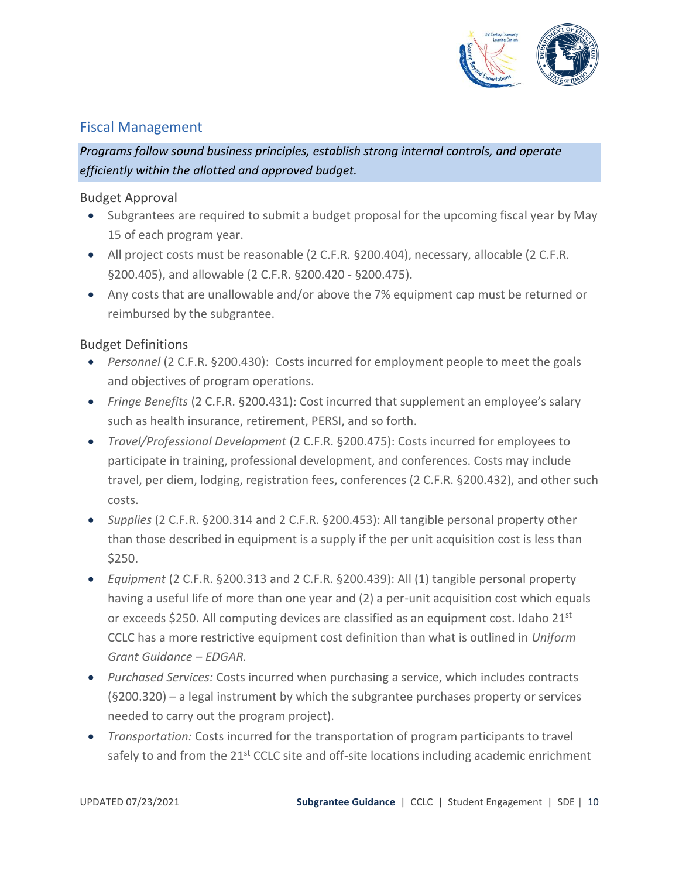

## <span id="page-9-0"></span>Fiscal Management

*Programs follow sound business principles, establish strong internal controls, and operate efficiently within the allotted and approved budget.*

#### Budget Approval

- Subgrantees are required to submit a budget proposal for the upcoming fiscal year by May 15 of each program year.
- All project costs must be reasonable (2 C.F.R. §200.404), necessary, allocable (2 C.F.R. §200.405), and allowable (2 C.F.R. §200.420 - §200.475).
- Any costs that are unallowable and/or above the 7% equipment cap must be returned or reimbursed by the subgrantee.

## Budget Definitions

- *Personnel* (2 C.F.R. §200.430): Costs incurred for employment people to meet the goals and objectives of program operations.
- *Fringe Benefits* (2 C.F.R. §200.431): Cost incurred that supplement an employee's salary such as health insurance, retirement, PERSI, and so forth.
- *Travel/Professional Development* (2 C.F.R. §200.475): Costs incurred for employees to participate in training, professional development, and conferences. Costs may include travel, per diem, lodging, registration fees, conferences (2 C.F.R. §200.432), and other such costs.
- *Supplies* (2 C.F.R. §200.314 and 2 C.F.R. §200.453): All tangible personal property other than those described in equipment is a supply if the per unit acquisition cost is less than \$250.
- *Equipment* (2 C.F.R. §200.313 and 2 C.F.R. §200.439): All (1) tangible personal property having a useful life of more than one year and (2) a per-unit acquisition cost which equals or exceeds \$250. All computing devices are classified as an equipment cost. Idaho 21<sup>st</sup> CCLC has a more restrictive equipment cost definition than what is outlined in *Uniform Grant Guidance – EDGAR.*
- *Purchased Services:* Costs incurred when purchasing a service, which includes contracts (§200.320) – a legal instrument by which the subgrantee purchases property or services needed to carry out the program project).
- *Transportation:* Costs incurred for the transportation of program participants to travel safely to and from the 21<sup>st</sup> CCLC site and off-site locations including academic enrichment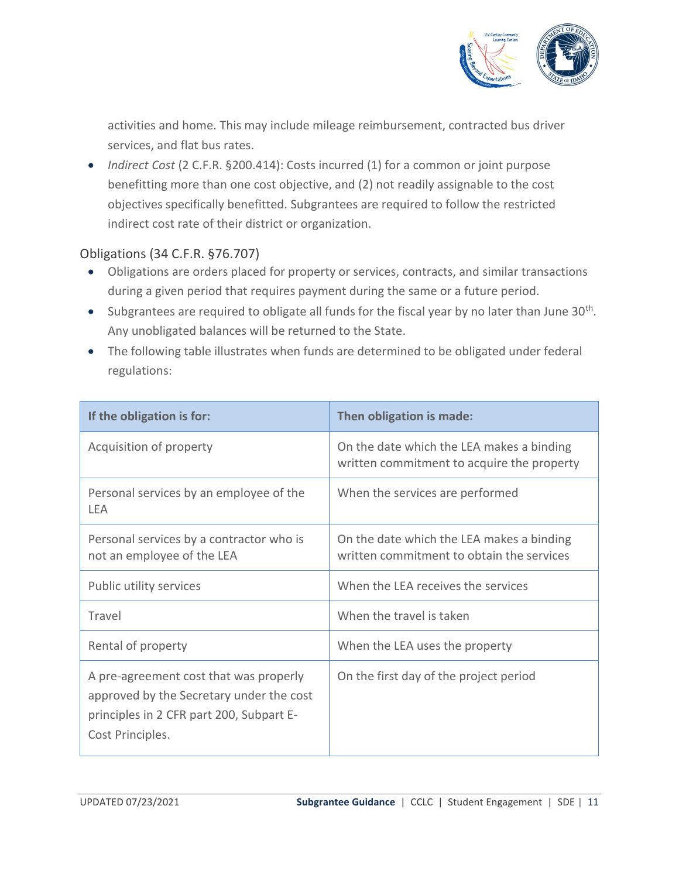

activities and home. This may include mileage reimbursement, contracted bus driver services, and flat bus rates.

<span id="page-10-0"></span>• *Indirect Cost* (2 C.F.R. §200.414): Costs incurred (1) for a common or joint purpose benefitting more than one cost objective, and (2) not readily assignable to the cost objectives specifically benefitted. Subgrantees are required to follow the restricted indirect cost rate of their district or organization.

## Obligations (34 C.F.R. §76.707)

- Obligations are orders placed for property or services, contracts, and similar transactions during a given period that requires payment during the same or a future period.
- Subgrantees are required to obligate all funds for the fiscal year by no later than June 30<sup>th</sup>. Any unobligated balances will be returned to the State.
- The following table illustrates when funds are determined to be obligated under federal regulations:

| If the obligation is for:                                                                                                                          | Then obligation is made:                                                                |
|----------------------------------------------------------------------------------------------------------------------------------------------------|-----------------------------------------------------------------------------------------|
| Acquisition of property                                                                                                                            | On the date which the LEA makes a binding<br>written commitment to acquire the property |
| Personal services by an employee of the<br>LEA                                                                                                     | When the services are performed                                                         |
| Personal services by a contractor who is<br>not an employee of the LEA                                                                             | On the date which the LEA makes a binding<br>written commitment to obtain the services  |
| Public utility services                                                                                                                            | When the LEA receives the services                                                      |
| Travel                                                                                                                                             | When the travel is taken                                                                |
| Rental of property                                                                                                                                 | When the LEA uses the property                                                          |
| A pre-agreement cost that was properly<br>approved by the Secretary under the cost<br>principles in 2 CFR part 200, Subpart E-<br>Cost Principles. | On the first day of the project period                                                  |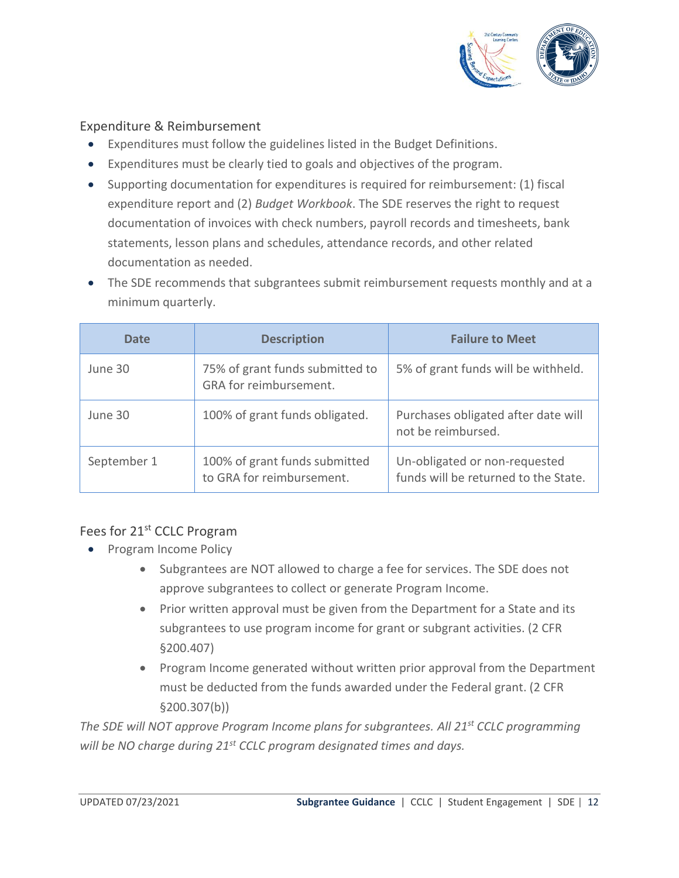

#### Expenditure & Reimbursement

- Expenditures must follow the guidelines listed in the Budget Definitions.
- Expenditures must be clearly tied to goals and objectives of the program.
- Supporting documentation for expenditures is required for reimbursement: (1) fiscal expenditure report and (2) *Budget Workbook*. The SDE reserves the right to request documentation of invoices with check numbers, payroll records and timesheets, bank statements, lesson plans and schedules, attendance records, and other related documentation as needed.
- The SDE recommends that subgrantees submit reimbursement requests monthly and at a minimum quarterly.

| Date        | <b>Description</b>                                         | <b>Failure to Meet</b>                                                |
|-------------|------------------------------------------------------------|-----------------------------------------------------------------------|
| June 30     | 75% of grant funds submitted to<br>GRA for reimbursement.  | 5% of grant funds will be withheld.                                   |
| June 30     | 100% of grant funds obligated.                             | Purchases obligated after date will<br>not be reimbursed.             |
| September 1 | 100% of grant funds submitted<br>to GRA for reimbursement. | Un-obligated or non-requested<br>funds will be returned to the State. |

## Fees for 21<sup>st</sup> CCLC Program

- Program Income Policy
	- Subgrantees are NOT allowed to charge a fee for services. The SDE does not approve subgrantees to collect or generate Program Income.
	- Prior written approval must be given from the Department for a State and its subgrantees to use program income for grant or subgrant activities. (2 CFR §200.407)
	- Program Income generated without written prior approval from the Department must be deducted from the funds awarded under the Federal grant. (2 CFR §200.307(b))

*The SDE will NOT approve Program Income plans for subgrantees. All 21st CCLC programming will be NO charge during 21st CCLC program designated times and days.*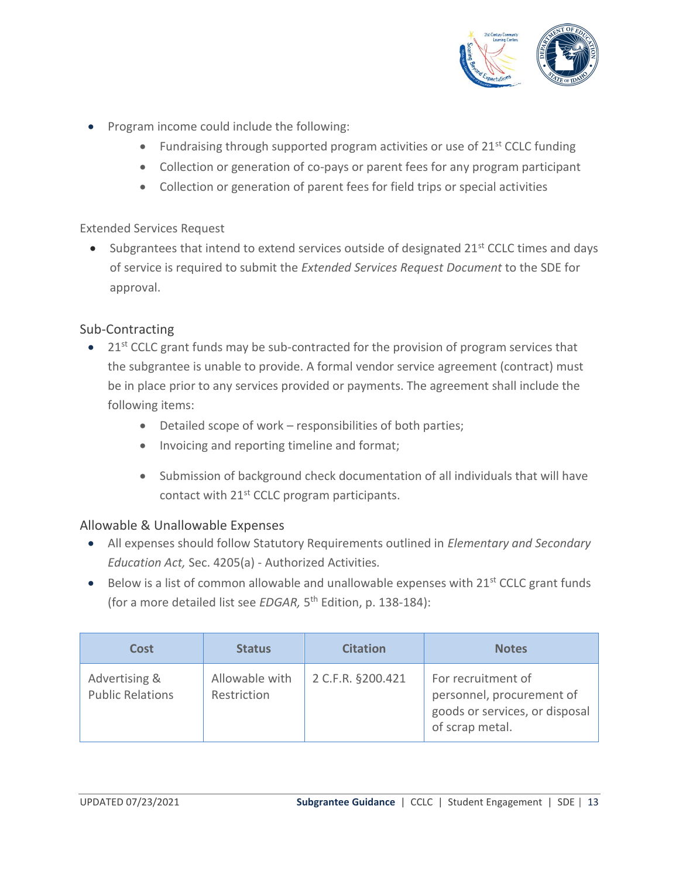

- Program income could include the following:
	- Fundraising through supported program activities or use of  $21^{st}$  CCLC funding
	- Collection or generation of co-pays or parent fees for any program participant
	- Collection or generation of parent fees for field trips or special activities

#### Extended Services Request

• Subgrantees that intend to extend services outside of designated  $21<sup>st</sup>$  CCLC times and days of service is required to submit the *Extended Services Request Document* to the SDE for approval.

## Sub-Contracting

- $\bullet$  21<sup>st</sup> CCLC grant funds may be sub-contracted for the provision of program services that the subgrantee is unable to provide. A formal vendor service agreement (contract) must be in place prior to any services provided or payments. The agreement shall include the following items:
	- Detailed scope of work responsibilities of both parties;
	- Invoicing and reporting timeline and format;
	- Submission of background check documentation of all individuals that will have contact with 21<sup>st</sup> CCLC program participants.

## Allowable & Unallowable Expenses

- All expenses should follow Statutory Requirements outlined in *Elementary and Secondary Education Act,* Sec. 4205(a) - Authorized Activities*.*
- Below is a list of common allowable and unallowable expenses with  $21^{st}$  CCLC grant funds (for a more detailed list see *EDGAR,* 5 th Edition, p. 138-184):

| <b>Cost</b>                              | <b>Status</b>                 | <b>Citation</b>   | <b>Notes</b>                                                                                         |
|------------------------------------------|-------------------------------|-------------------|------------------------------------------------------------------------------------------------------|
| Advertising &<br><b>Public Relations</b> | Allowable with<br>Restriction | 2 C.F.R. §200.421 | For recruitment of<br>personnel, procurement of<br>goods or services, or disposal<br>of scrap metal. |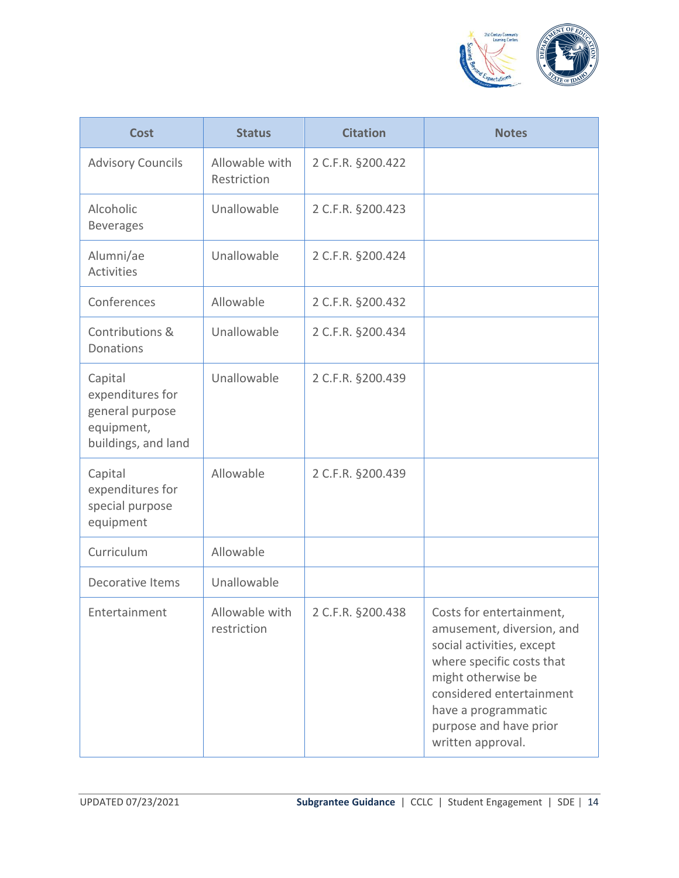

| <b>Cost</b>                                                                         | <b>Status</b>                 | <b>Citation</b>   | <b>Notes</b>                                                                                                                                                                                                                            |
|-------------------------------------------------------------------------------------|-------------------------------|-------------------|-----------------------------------------------------------------------------------------------------------------------------------------------------------------------------------------------------------------------------------------|
| <b>Advisory Councils</b>                                                            | Allowable with<br>Restriction | 2 C.F.R. §200.422 |                                                                                                                                                                                                                                         |
| Alcoholic<br><b>Beverages</b>                                                       | Unallowable                   | 2 C.F.R. §200.423 |                                                                                                                                                                                                                                         |
| Alumni/ae<br><b>Activities</b>                                                      | Unallowable                   | 2 C.F.R. §200.424 |                                                                                                                                                                                                                                         |
| Conferences                                                                         | Allowable                     | 2 C.F.R. §200.432 |                                                                                                                                                                                                                                         |
| Contributions &<br>Donations                                                        | Unallowable                   | 2 C.F.R. §200.434 |                                                                                                                                                                                                                                         |
| Capital<br>expenditures for<br>general purpose<br>equipment,<br>buildings, and land | Unallowable                   | 2 C.F.R. §200.439 |                                                                                                                                                                                                                                         |
| Capital<br>expenditures for<br>special purpose<br>equipment                         | Allowable                     | 2 C.F.R. §200.439 |                                                                                                                                                                                                                                         |
| Curriculum                                                                          | Allowable                     |                   |                                                                                                                                                                                                                                         |
| <b>Decorative Items</b>                                                             | Unallowable                   |                   |                                                                                                                                                                                                                                         |
| Entertainment                                                                       | Allowable with<br>restriction | 2 C.F.R. §200.438 | Costs for entertainment,<br>amusement, diversion, and<br>social activities, except<br>where specific costs that<br>might otherwise be<br>considered entertainment<br>have a programmatic<br>purpose and have prior<br>written approval. |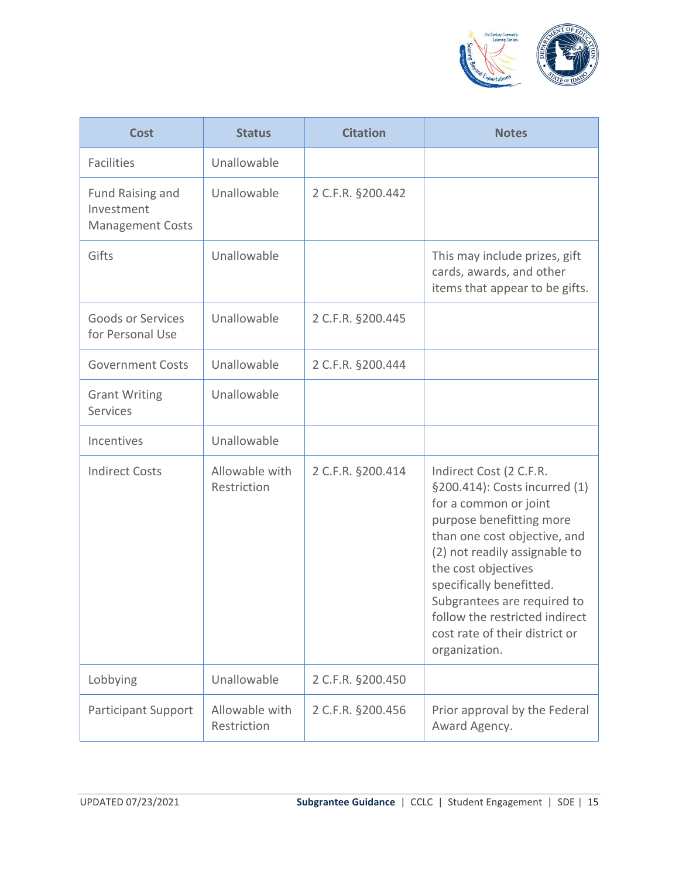

| <b>Cost</b>                                               | <b>Status</b>                 | <b>Citation</b>   | <b>Notes</b>                                                                                                                                                                                                                                                                                                                                          |
|-----------------------------------------------------------|-------------------------------|-------------------|-------------------------------------------------------------------------------------------------------------------------------------------------------------------------------------------------------------------------------------------------------------------------------------------------------------------------------------------------------|
| <b>Facilities</b>                                         | Unallowable                   |                   |                                                                                                                                                                                                                                                                                                                                                       |
| Fund Raising and<br>Investment<br><b>Management Costs</b> | Unallowable                   | 2 C.F.R. §200.442 |                                                                                                                                                                                                                                                                                                                                                       |
| Gifts                                                     | Unallowable                   |                   | This may include prizes, gift<br>cards, awards, and other<br>items that appear to be gifts.                                                                                                                                                                                                                                                           |
| Goods or Services<br>for Personal Use                     | Unallowable                   | 2 C.F.R. §200.445 |                                                                                                                                                                                                                                                                                                                                                       |
| <b>Government Costs</b>                                   | Unallowable                   | 2 C.F.R. §200.444 |                                                                                                                                                                                                                                                                                                                                                       |
| <b>Grant Writing</b><br><b>Services</b>                   | Unallowable                   |                   |                                                                                                                                                                                                                                                                                                                                                       |
| Incentives                                                | Unallowable                   |                   |                                                                                                                                                                                                                                                                                                                                                       |
| <b>Indirect Costs</b>                                     | Allowable with<br>Restriction | 2 C.F.R. §200.414 | Indirect Cost (2 C.F.R.<br>§200.414): Costs incurred (1)<br>for a common or joint<br>purpose benefitting more<br>than one cost objective, and<br>(2) not readily assignable to<br>the cost objectives<br>specifically benefitted.<br>Subgrantees are required to<br>follow the restricted indirect<br>cost rate of their district or<br>organization. |
| Lobbying                                                  | Unallowable                   | 2 C.F.R. §200.450 |                                                                                                                                                                                                                                                                                                                                                       |
| <b>Participant Support</b>                                | Allowable with<br>Restriction | 2 C.F.R. §200.456 | Prior approval by the Federal<br>Award Agency.                                                                                                                                                                                                                                                                                                        |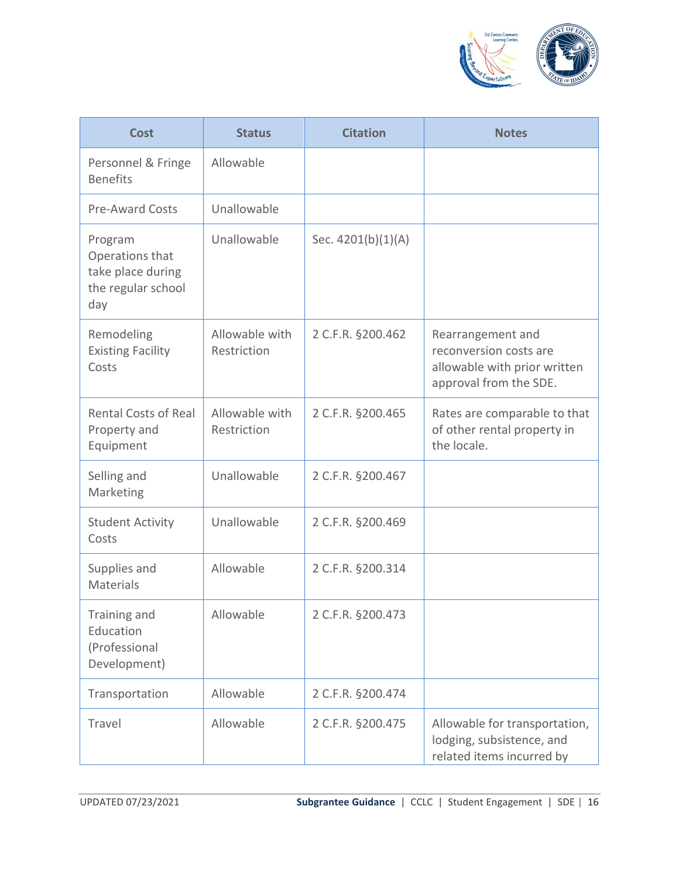

| <b>Cost</b>                                                                  | <b>Status</b>                 | <b>Citation</b>    | <b>Notes</b>                                                                                          |
|------------------------------------------------------------------------------|-------------------------------|--------------------|-------------------------------------------------------------------------------------------------------|
| Personnel & Fringe<br><b>Benefits</b>                                        | Allowable                     |                    |                                                                                                       |
| <b>Pre-Award Costs</b>                                                       | Unallowable                   |                    |                                                                                                       |
| Program<br>Operations that<br>take place during<br>the regular school<br>day | Unallowable                   | Sec. 4201(b)(1)(A) |                                                                                                       |
| Remodeling<br><b>Existing Facility</b><br>Costs                              | Allowable with<br>Restriction | 2 C.F.R. §200.462  | Rearrangement and<br>reconversion costs are<br>allowable with prior written<br>approval from the SDE. |
| <b>Rental Costs of Real</b><br>Property and<br>Equipment                     | Allowable with<br>Restriction | 2 C.F.R. §200.465  | Rates are comparable to that<br>of other rental property in<br>the locale.                            |
| Selling and<br>Marketing                                                     | Unallowable                   | 2 C.F.R. §200.467  |                                                                                                       |
| <b>Student Activity</b><br>Costs                                             | Unallowable                   | 2 C.F.R. §200.469  |                                                                                                       |
| Supplies and<br>Materials                                                    | Allowable                     | 2 C.F.R. §200.314  |                                                                                                       |
| Training and<br>Education<br>(Professional<br>Development)                   | Allowable                     | 2 C.F.R. §200.473  |                                                                                                       |
| Transportation                                                               | Allowable                     | 2 C.F.R. §200.474  |                                                                                                       |
| Travel                                                                       | Allowable                     | 2 C.F.R. §200.475  | Allowable for transportation,<br>lodging, subsistence, and<br>related items incurred by               |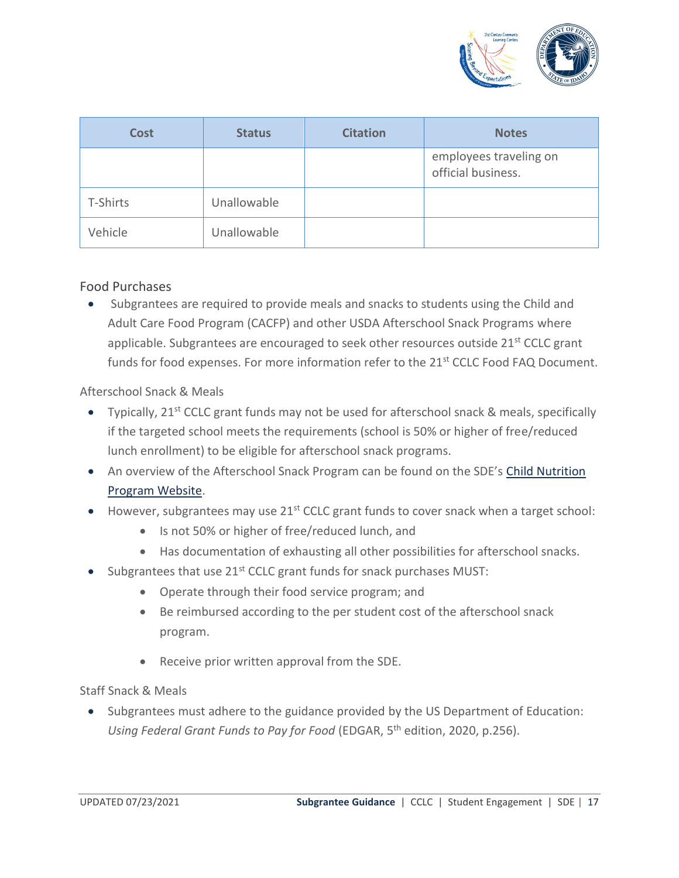

| <b>Cost</b> | <b>Status</b> | <b>Citation</b> | <b>Notes</b>                                 |
|-------------|---------------|-----------------|----------------------------------------------|
|             |               |                 | employees traveling on<br>official business. |
| T-Shirts    | Unallowable   |                 |                                              |
| Vehicle     | Unallowable   |                 |                                              |

#### Food Purchases

• Subgrantees are required to provide meals and snacks to students using the Child and Adult Care Food Program (CACFP) and other USDA Afterschool Snack Programs where applicable. Subgrantees are encouraged to seek other resources outside 21<sup>st</sup> CCLC grant funds for food expenses. For more information refer to the 21<sup>st</sup> CCLC Food FAQ Document.

#### Afterschool Snack & Meals

- Typically,  $21^{st}$  CCLC grant funds may not be used for afterschool snack & meals, specifically if the targeted school meets the requirements (school is 50% or higher of free/reduced lunch enrollment) to be eligible for afterschool snack programs.
- An overview of the Afterschool Snack Program can be found on the SDE's Child Nutrition [Program Website.](http://www.sde.idaho.gov/cnp/index.html)
- However, subgrantees may use 21<sup>st</sup> CCLC grant funds to cover snack when a target school:
	- Is not 50% or higher of free/reduced lunch, and
	- Has documentation of exhausting all other possibilities for afterschool snacks.
- Subgrantees that use 21<sup>st</sup> CCLC grant funds for snack purchases MUST:
	- Operate through their food service program; and
	- Be reimbursed according to the per student cost of the afterschool snack program.
	- Receive prior written approval from the SDE.

#### Staff Snack & Meals

• Subgrantees must adhere to the guidance provided by the US Department of Education: Using Federal Grant Funds to Pay for Food (EDGAR, 5<sup>th</sup> edition, 2020, p.256).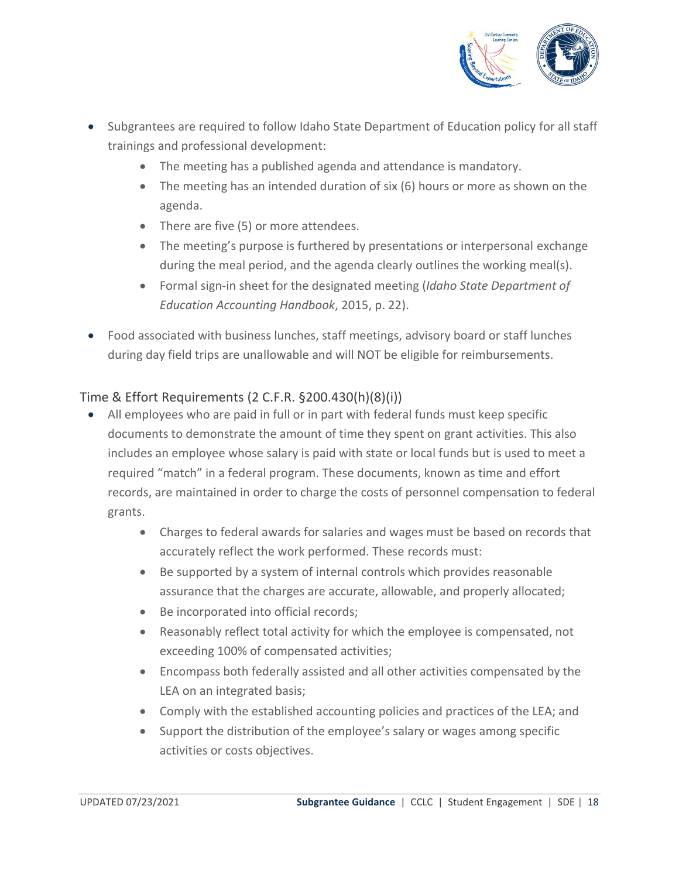

- Subgrantees are required to follow Idaho State Department of Education policy for all staff trainings and professional development:
	- The meeting has a published agenda and attendance is mandatory.
	- The meeting has an intended duration of six (6) hours or more as shown on the agenda.
	- There are five (5) or more attendees.
	- The meeting's purpose is furthered by presentations or interpersonal exchange during the meal period, and the agenda clearly outlines the working meal(s).
	- Formal sign-in sheet for the designated meeting (*Idaho State Department of Education Accounting Handbook*, 2015, p. 22).
- Food associated with business lunches, staff meetings, advisory board or staff lunches during day field trips are unallowable and will NOT be eligible for reimbursements.

## Time & Effort Requirements (2 C.F.R. §200.430(h)(8)(i))

- All employees who are paid in full or in part with federal funds must keep specific documents to demonstrate the amount of time they spent on grant activities. This also includes an employee whose salary is paid with state or local funds but is used to meet a required "match" in a federal program. These documents, known as time and effort records, are maintained in order to charge the costs of personnel compensation to federal grants.
	- Charges to federal awards for salaries and wages must be based on records that accurately reflect the work performed. These records must:
	- Be supported by a system of internal controls which provides reasonable assurance that the charges are accurate, allowable, and properly allocated;
	- Be incorporated into official records;
	- Reasonably reflect total activity for which the employee is compensated, not exceeding 100% of compensated activities;
	- Encompass both federally assisted and all other activities compensated by the LEA on an integrated basis;
	- Comply with the established accounting policies and practices of the LEA; and
	- Support the distribution of the employee's salary or wages among specific activities or costs objectives.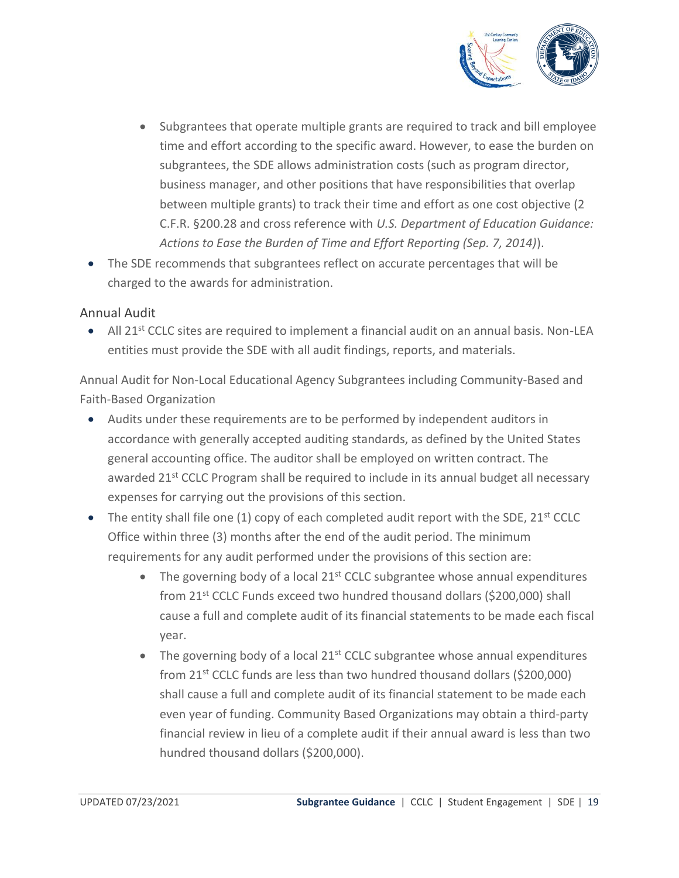

- Subgrantees that operate multiple grants are required to track and bill employee time and effort according to the specific award. However, to ease the burden on subgrantees, the SDE allows administration costs (such as program director, business manager, and other positions that have responsibilities that overlap between multiple grants) to track their time and effort as one cost objective (2 C.F.R. §200.28 and cross reference with *U.S. Department of Education Guidance: Actions to Ease the Burden of Time and Effort Reporting (Sep. 7, 2014)*).
- The SDE recommends that subgrantees reflect on accurate percentages that will be charged to the awards for administration.

#### Annual Audit

• All 21<sup>st</sup> CCLC sites are required to implement a financial audit on an annual basis. Non-LEA entities must provide the SDE with all audit findings, reports, and materials.

Annual Audit for Non-Local Educational Agency Subgrantees including Community-Based and Faith-Based Organization

- Audits under these requirements are to be performed by independent auditors in accordance with generally accepted auditing standards, as defined by the United States general accounting office. The auditor shall be employed on written contract. The awarded 21<sup>st</sup> CCLC Program shall be required to include in its annual budget all necessary expenses for carrying out the provisions of this section.
- The entity shall file one (1) copy of each completed audit report with the SDE,  $21^{st}$  CCLC Office within three (3) months after the end of the audit period. The minimum requirements for any audit performed under the provisions of this section are:
	- The governing body of a local  $21^{st}$  CCLC subgrantee whose annual expenditures from 21st CCLC Funds exceed two hundred thousand dollars (\$200,000) shall cause a full and complete audit of its financial statements to be made each fiscal year.
	- $\bullet$  The governing body of a local 21<sup>st</sup> CCLC subgrantee whose annual expenditures from  $21^{st}$  CCLC funds are less than two hundred thousand dollars (\$200,000) shall cause a full and complete audit of its financial statement to be made each even year of funding. Community Based Organizations may obtain a third-party financial review in lieu of a complete audit if their annual award is less than two hundred thousand dollars (\$200,000).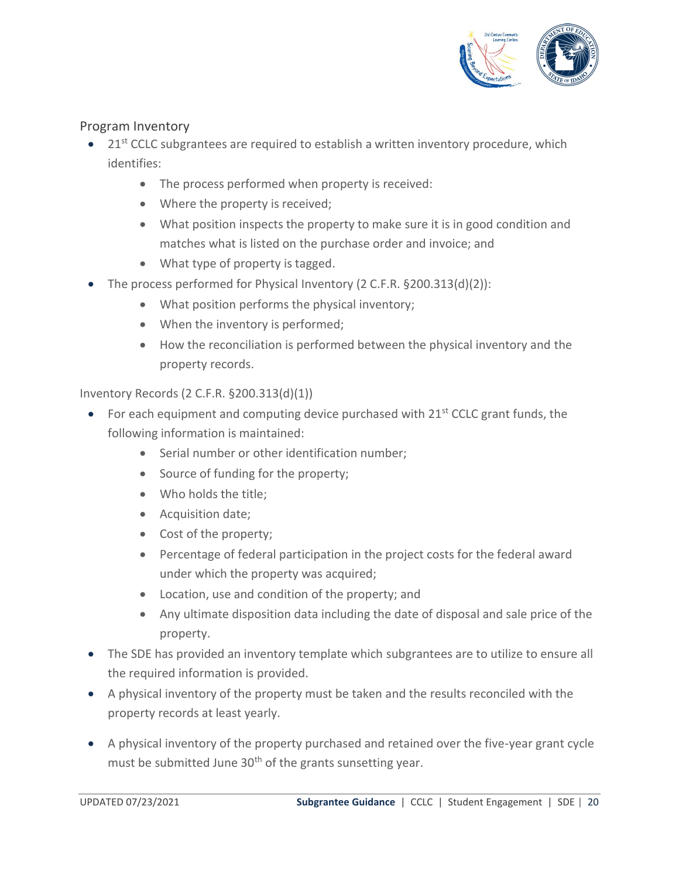

#### Program Inventory

- $\bullet$  21<sup>st</sup> CCLC subgrantees are required to establish a written inventory procedure, which identifies:
	- The process performed when property is received:
	- Where the property is received;
	- What position inspects the property to make sure it is in good condition and matches what is listed on the purchase order and invoice; and
	- What type of property is tagged.
- The process performed for Physical Inventory (2 C.F.R. §200.313(d)(2)):
	- What position performs the physical inventory;
	- When the inventory is performed;
	- How the reconciliation is performed between the physical inventory and the property records.

Inventory Records (2 C.F.R. §200.313(d)(1))

- For each equipment and computing device purchased with  $21^{st}$  CCLC grant funds, the following information is maintained:
	- Serial number or other identification number;
	- Source of funding for the property;
	- Who holds the title;
	- Acquisition date;
	- Cost of the property;
	- Percentage of federal participation in the project costs for the federal award under which the property was acquired;
	- Location, use and condition of the property; and
	- Any ultimate disposition data including the date of disposal and sale price of the property.
- The SDE has provided an inventory template which subgrantees are to utilize to ensure all the required information is provided.
- A physical inventory of the property must be taken and the results reconciled with the property records at least yearly.
- A physical inventory of the property purchased and retained over the five-year grant cycle must be submitted June 30<sup>th</sup> of the grants sunsetting year.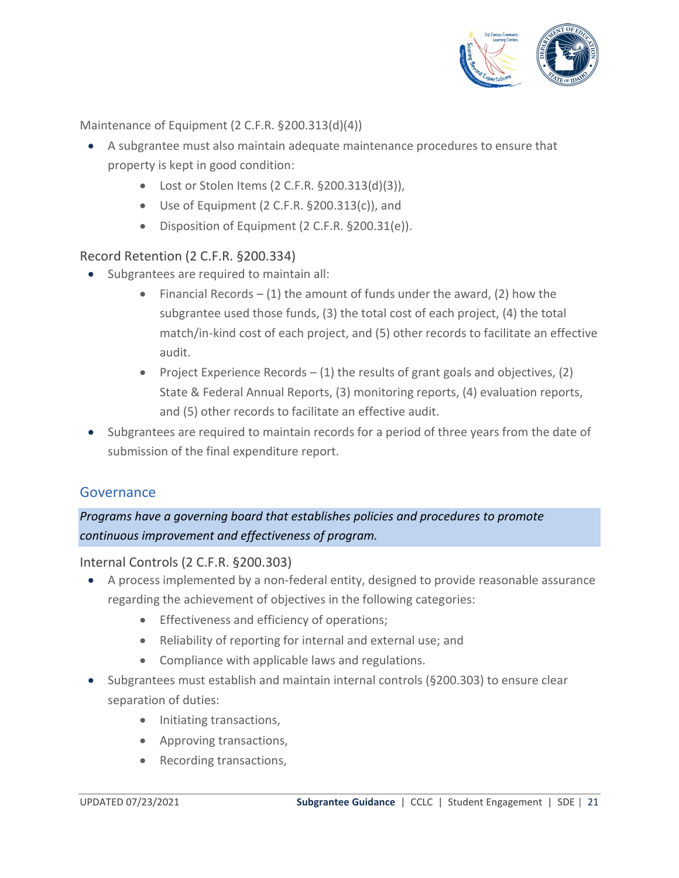

#### Maintenance of Equipment (2 C.F.R. §200.313(d)(4))

- A subgrantee must also maintain adequate maintenance procedures to ensure that property is kept in good condition:
	- Lost or Stolen Items (2 C.F.R. §200.313(d)(3)),
	- Use of Equipment (2 C.F.R. §200.313(c)), and
	- Disposition of Equipment (2 C.F.R. §200.31(e)).

## Record Retention (2 C.F.R. §200.334)

- Subgrantees are required to maintain all:
	- Financial Records  $(1)$  the amount of funds under the award, (2) how the subgrantee used those funds, (3) the total cost of each project, (4) the total match/in-kind cost of each project, and (5) other records to facilitate an effective audit.
	- Project Experience Records  $-$  (1) the results of grant goals and objectives, (2) State & Federal Annual Reports, (3) monitoring reports, (4) evaluation reports, and (5) other records to facilitate an effective audit.
- Subgrantees are required to maintain records for a period of three years from the date of submission of the final expenditure report.

## <span id="page-20-0"></span>Governance

## *Programs have a governing board that establishes policies and procedures to promote continuous improvement and effectiveness of program.*

#### Internal Controls (2 C.F.R. §200.303)

- A process implemented by a non-federal entity, designed to provide reasonable assurance regarding the achievement of objectives in the following categories:
	- Effectiveness and efficiency of operations;
	- Reliability of reporting for internal and external use; and
	- Compliance with applicable laws and regulations.
- Subgrantees must establish and maintain internal controls (§200.303) to ensure clear separation of duties:
	- Initiating transactions,
	- Approving transactions,
	- Recording transactions,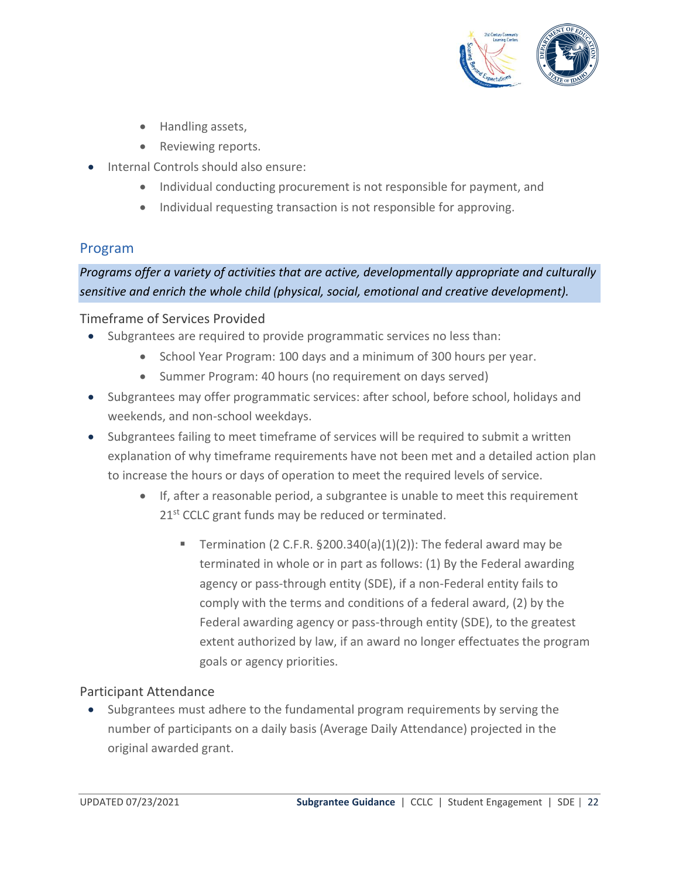

- Handling assets,
- Reviewing reports.
- Internal Controls should also ensure:
	- Individual conducting procurement is not responsible for payment, and
	- Individual requesting transaction is not responsible for approving.

## <span id="page-21-0"></span>Program

*Programs offer a variety of activities that are active, developmentally appropriate and culturally sensitive and enrich the whole child (physical, social, emotional and creative development).*

#### Timeframe of Services Provided

- Subgrantees are required to provide programmatic services no less than:
	- School Year Program: 100 days and a minimum of 300 hours per year.
	- Summer Program: 40 hours (no requirement on days served)
- Subgrantees may offer programmatic services: after school, before school, holidays and weekends, and non-school weekdays.
- Subgrantees failing to meet timeframe of services will be required to submit a written explanation of why timeframe requirements have not been met and a detailed action plan to increase the hours or days of operation to meet the required levels of service.
	- If, after a reasonable period, a subgrantee is unable to meet this requirement 21<sup>st</sup> CCLC grant funds may be reduced or terminated.
		- **E** Termination (2 C.F.R.  $\S200.340(a)(1)(2)$ ): The federal award may be terminated in whole or in part as follows: (1) By the Federal awarding agency or pass-through entity (SDE), if a non-Federal entity fails to comply with the terms and conditions of a federal award, (2) by the Federal awarding agency or pass-through entity (SDE), to the greatest extent authorized by law, if an award no longer effectuates the program goals or agency priorities.

## Participant Attendance

• Subgrantees must adhere to the fundamental program requirements by serving the number of participants on a daily basis (Average Daily Attendance) projected in the original awarded grant.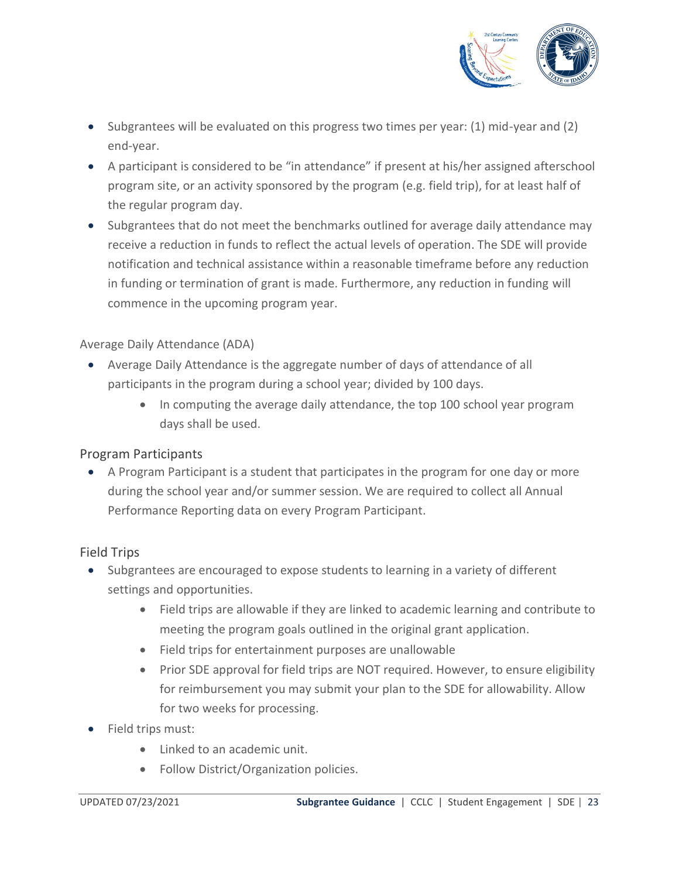

- Subgrantees will be evaluated on this progress two times per year: (1) mid-year and (2) end-year.
- A participant is considered to be "in attendance" if present at his/her assigned afterschool program site, or an activity sponsored by the program (e.g. field trip), for at least half of the regular program day.
- Subgrantees that do not meet the benchmarks outlined for average daily attendance may receive a reduction in funds to reflect the actual levels of operation. The SDE will provide notification and technical assistance within a reasonable timeframe before any reduction in funding or termination of grant is made. Furthermore, any reduction in funding will commence in the upcoming program year.

#### Average Daily Attendance (ADA)

- Average Daily Attendance is the aggregate number of days of attendance of all participants in the program during a school year; divided by 100 days.
	- In computing the average daily attendance, the top 100 school year program days shall be used.

## Program Participants

• A Program Participant is a student that participates in the program for one day or more during the school year and/or summer session. We are required to collect all Annual Performance Reporting data on every Program Participant.

## Field Trips

- Subgrantees are encouraged to expose students to learning in a variety of different settings and opportunities.
	- Field trips are allowable if they are linked to academic learning and contribute to meeting the program goals outlined in the original grant application.
	- Field trips for entertainment purposes are unallowable
	- Prior SDE approval for field trips are NOT required. However, to ensure eligibility for reimbursement you may submit your plan to the SDE for allowability. Allow for two weeks for processing.
- Field trips must:
	- Linked to an academic unit.
	- Follow District/Organization policies.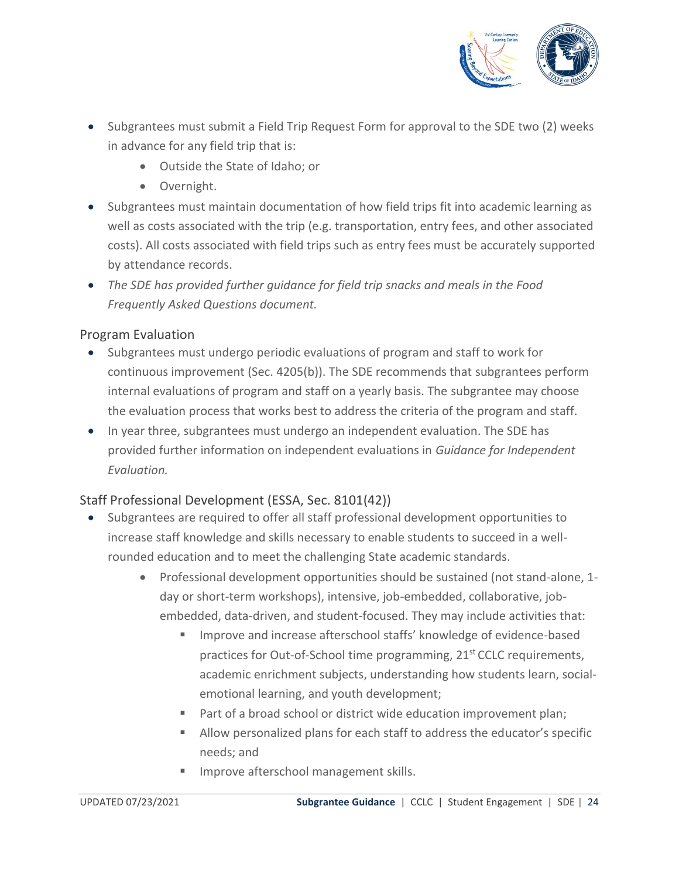

- Subgrantees must submit a Field Trip Request Form for approval to the SDE two (2) weeks in advance for any field trip that is:
	- Outside the State of Idaho; or
	- Overnight.
- Subgrantees must maintain documentation of how field trips fit into academic learning as well as costs associated with the trip (e.g. transportation, entry fees, and other associated costs). All costs associated with field trips such as entry fees must be accurately supported by attendance records.
- *The SDE has provided further guidance for field trip snacks and meals in the Food Frequently Asked Questions document.*

## Program Evaluation

- Subgrantees must undergo periodic evaluations of program and staff to work for continuous improvement (Sec. 4205(b)). The SDE recommends that subgrantees perform internal evaluations of program and staff on a yearly basis. The subgrantee may choose the evaluation process that works best to address the criteria of the program and staff.
- In year three, subgrantees must undergo an independent evaluation. The SDE has provided further information on independent evaluations in *Guidance for Independent Evaluation.*

## Staff Professional Development (ESSA, Sec. 8101(42))

- Subgrantees are required to offer all staff professional development opportunities to increase staff knowledge and skills necessary to enable students to succeed in a wellrounded education and to meet the challenging State academic standards.
	- Professional development opportunities should be sustained (not stand-alone, 1 day or short-term workshops), intensive, job-embedded, collaborative, jobembedded, data-driven, and student-focused. They may include activities that:
		- Improve and increase afterschool staffs' knowledge of evidence-based practices for Out-of-School time programming, 21<sup>st</sup> CCLC requirements, academic enrichment subjects, understanding how students learn, socialemotional learning, and youth development;
		- Part of a broad school or district wide education improvement plan;
		- Allow personalized plans for each staff to address the educator's specific needs; and
		- **■** Improve afterschool management skills.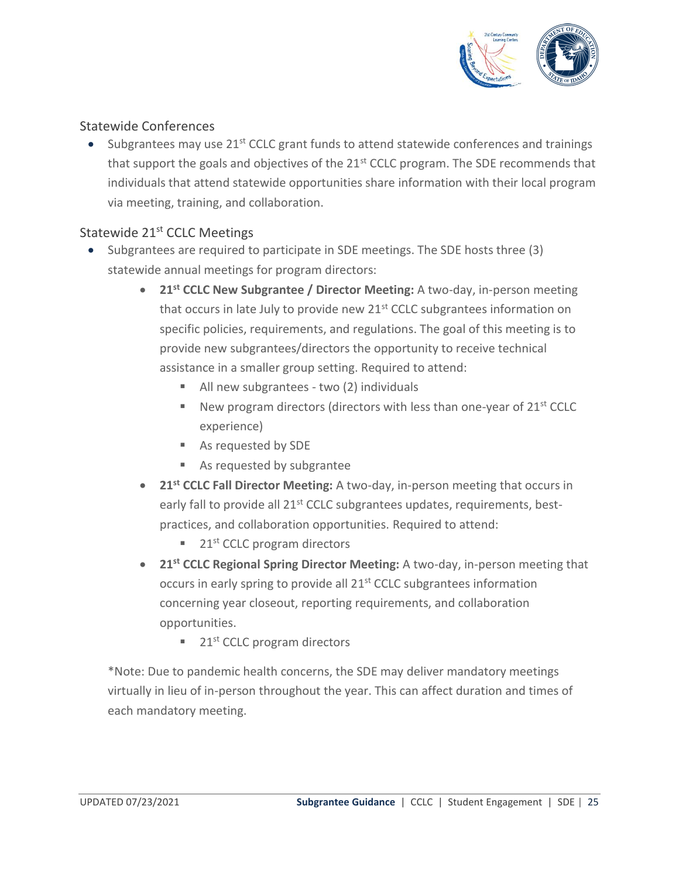

#### Statewide Conferences

Subgrantees may use 21<sup>st</sup> CCLC grant funds to attend statewide conferences and trainings that support the goals and objectives of the 21<sup>st</sup> CCLC program. The SDE recommends that individuals that attend statewide opportunities share information with their local program via meeting, training, and collaboration.

## Statewide 21<sup>st</sup> CCLC Meetings

- Subgrantees are required to participate in SDE meetings. The SDE hosts three (3) statewide annual meetings for program directors:
	- **21st CCLC New Subgrantee / Director Meeting:** A two-day, in-person meeting that occurs in late July to provide new 21<sup>st</sup> CCLC subgrantees information on specific policies, requirements, and regulations. The goal of this meeting is to provide new subgrantees/directors the opportunity to receive technical assistance in a smaller group setting. Required to attend:
		- All new subgrantees two (2) individuals
		- $\blacksquare$  New program directors (directors with less than one-year of 21st CCLC experience)
		- As requested by SDE
		- As requested by subgrantee
	- **21st CCLC Fall Director Meeting:** A two-day, in-person meeting that occurs in early fall to provide all 21<sup>st</sup> CCLC subgrantees updates, requirements, bestpractices, and collaboration opportunities. Required to attend:
		- $\blacksquare$  21<sup>st</sup> CCLC program directors
	- **21st CCLC Regional Spring Director Meeting:** A two-day, in-person meeting that occurs in early spring to provide all 21<sup>st</sup> CCLC subgrantees information concerning year closeout, reporting requirements, and collaboration opportunities.
		- $\blacksquare$  21<sup>st</sup> CCLC program directors

\*Note: Due to pandemic health concerns, the SDE may deliver mandatory meetings virtually in lieu of in-person throughout the year. This can affect duration and times of each mandatory meeting.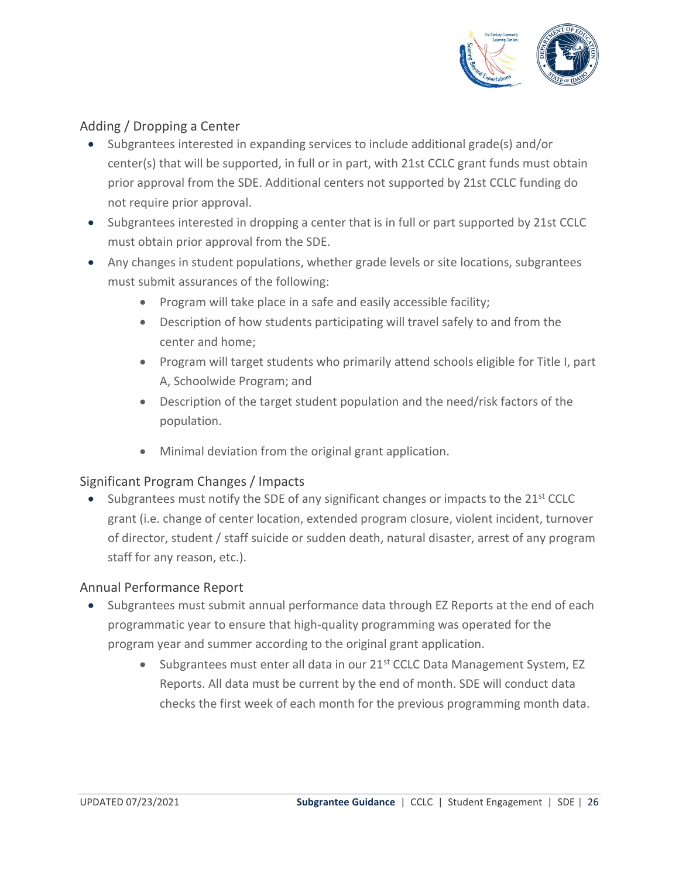

## Adding / Dropping a Center

- Subgrantees interested in expanding services to include additional grade(s) and/or center(s) that will be supported, in full or in part, with 21st CCLC grant funds must obtain prior approval from the SDE. Additional centers not supported by 21st CCLC funding do not require prior approval.
- Subgrantees interested in dropping a center that is in full or part supported by 21st CCLC must obtain prior approval from the SDE.
- Any changes in student populations, whether grade levels or site locations, subgrantees must submit assurances of the following:
	- Program will take place in a safe and easily accessible facility;
	- Description of how students participating will travel safely to and from the center and home;
	- Program will target students who primarily attend schools eligible for Title I, part A, Schoolwide Program; and
	- Description of the target student population and the need/risk factors of the population.
	- Minimal deviation from the original grant application.

#### Significant Program Changes / Impacts

• Subgrantees must notify the SDE of any significant changes or impacts to the 21<sup>st</sup> CCLC grant (i.e. change of center location, extended program closure, violent incident, turnover of director, student / staff suicide or sudden death, natural disaster, arrest of any program staff for any reason, etc.).

#### Annual Performance Report

- Subgrantees must submit annual performance data through EZ Reports at the end of each programmatic year to ensure that high-quality programming was operated for the program year and summer according to the original grant application.
	- Subgrantees must enter all data in our  $21<sup>st</sup>$  CCLC Data Management System, EZ Reports. All data must be current by the end of month. SDE will conduct data checks the first week of each month for the previous programming month data.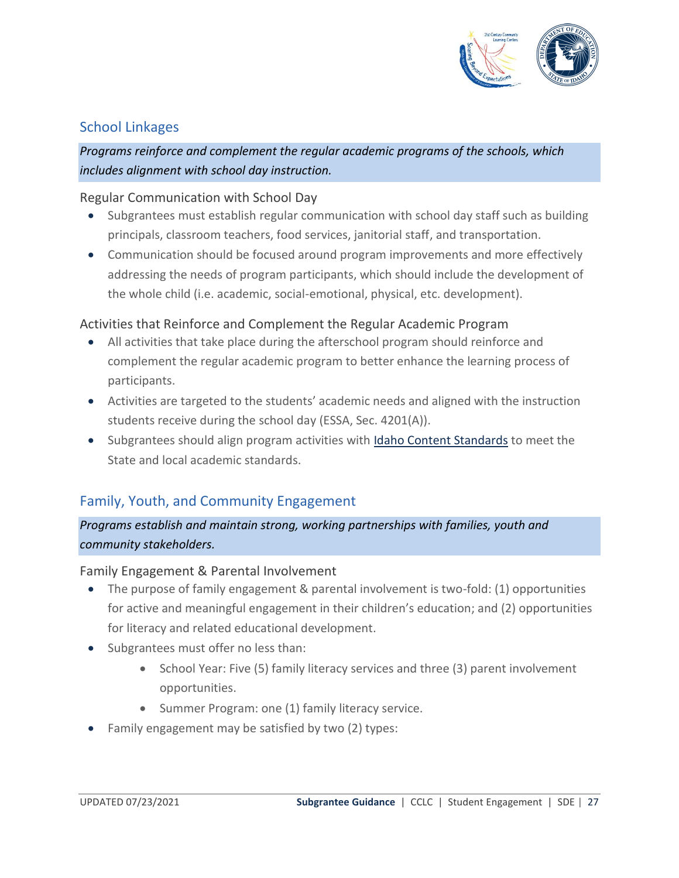

## <span id="page-26-0"></span>School Linkages

## *Programs reinforce and complement the regular academic programs of the schools, which includes alignment with school day instruction.*

#### Regular Communication with School Day

- Subgrantees must establish regular communication with school day staff such as building principals, classroom teachers, food services, janitorial staff, and transportation.
- Communication should be focused around program improvements and more effectively addressing the needs of program participants, which should include the development of the whole child (i.e. academic, social-emotional, physical, etc. development).

#### Activities that Reinforce and Complement the Regular Academic Program

- All activities that take place during the afterschool program should reinforce and complement the regular academic program to better enhance the learning process of participants.
- Activities are targeted to the students' academic needs and aligned with the instruction students receive during the school day (ESSA, Sec. 4201(A)).
- Subgrantees should align program activities with [Idaho Content Standards](http://sde.idaho.gov/academic/standards/) to meet the State and local academic standards.

## <span id="page-26-1"></span>Family, Youth, and Community Engagement

*Programs establish and maintain strong, working partnerships with families, youth and community stakeholders.*

#### Family Engagement & Parental Involvement

- The purpose of family engagement & parental involvement is two-fold: (1) opportunities for active and meaningful engagement in their children's education; and (2) opportunities for literacy and related educational development.
- Subgrantees must offer no less than:
	- School Year: Five (5) family literacy services and three (3) parent involvement opportunities.
	- Summer Program: one (1) family literacy service.
- Family engagement may be satisfied by two (2) types: